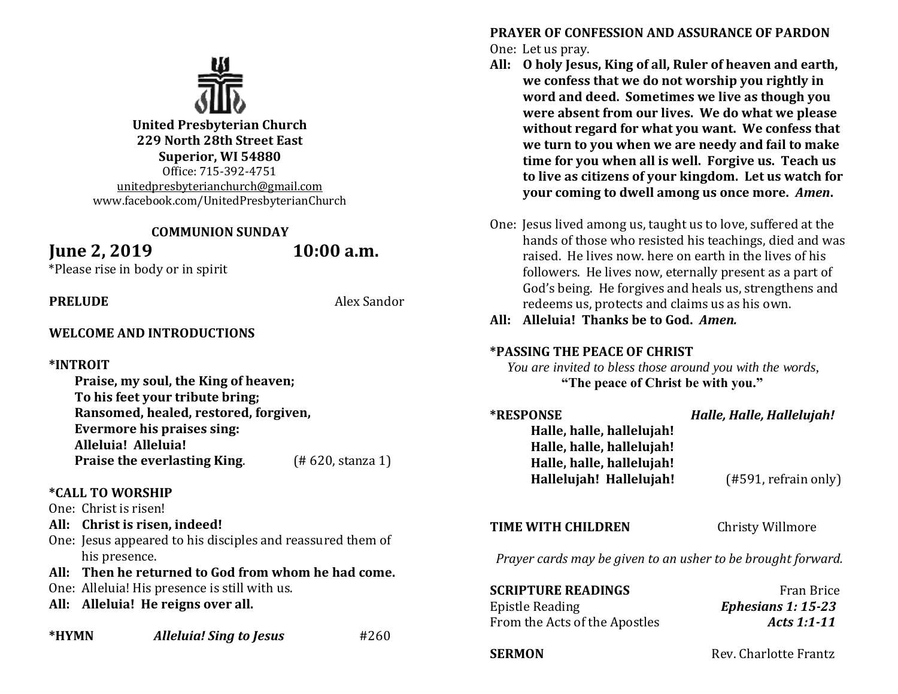

**United Presbyterian Church 229 North 28th Street East Superior, WI 54880** Office: 715-392-4751 [unitedpresbyterianchurch@gmail.com](mailto:unitedpresbyterianchurch@gmail.com) www.facebook.com/UnitedPresbyterianChurch

#### **COMMUNION SUNDAY**

# **June 2, 2019 10:00 a.m.**

\*Please rise in body or in spirit

**PRELUDE** Alex Sandor

#### **WELCOME AND INTRODUCTIONS**

### **\*INTROIT**

**Praise, my soul, the King of heaven; To his feet your tribute bring; Ransomed, healed, restored, forgiven, Evermore his praises sing: Alleluia! Alleluia! Praise the everlasting King.** (#620, stanza 1)

#### **\*CALL TO WORSHIP**

One: Christ is risen!

**All: Christ is risen, indeed!**

One: Jesus appeared to his disciples and reassured them of his presence.

### **All: Then he returned to God from whom he had come.**

- One: Alleluia! His presence is still with us.
- **All: Alleluia! He reigns over all.**

**\*HYMN** *Alleluia! Sing to Jesus*#260

**PRAYER OF CONFESSION AND ASSURANCE OF PARDON** One: Let us pray.

- **All: O holy Jesus, King of all, Ruler of heaven and earth, we confess that we do not worship you rightly in word and deed. Sometimes we live as though you were absent from our lives. We do what we please without regard for what you want. We confess that we turn to you when we are needy and fail to make time for you when all is well. Forgive us. Teach us to live as citizens of your kingdom. Let us watch for your coming to dwell among us once more.** *Amen***.**
- One: Jesus lived among us, taught us to love, suffered at the hands of those who resisted his teachings, died and was raised. He lives now. here on earth in the lives of his followers. He lives now, eternally present as a part of God's being. He forgives and heals us, strengthens and redeems us, protects and claims us as his own.
- **All: Alleluia! Thanks be to God.** *Amen.*

#### **\*PASSING THE PEACE OF CHRIST**

 *You are invited to bless those around you with the words,* **"The peace of Christ be with you."**

| <b>*RESPONSE</b>          | Halle, Halle, Hallelujah! |
|---------------------------|---------------------------|
| Halle, halle, hallelujah! |                           |
| Halle, halle, hallelujah! |                           |
| Halle, halle, hallelujah! |                           |
| Hallelujah! Hallelujah!   | $(#591,$ refrain only)    |
|                           |                           |

#### **TIME WITH CHILDREN** Christy Willmore

*Prayer cards may be given to an usher to be brought forward.*

| <b>SCRIPTURE READINGS</b>     | <b>Fran Brice</b>    |
|-------------------------------|----------------------|
| Epistle Reading               | Ephesians 1: $15-23$ |
| From the Acts of the Apostles | Acts 1:1-11          |

**SERMON** Rev. Charlotte Frantz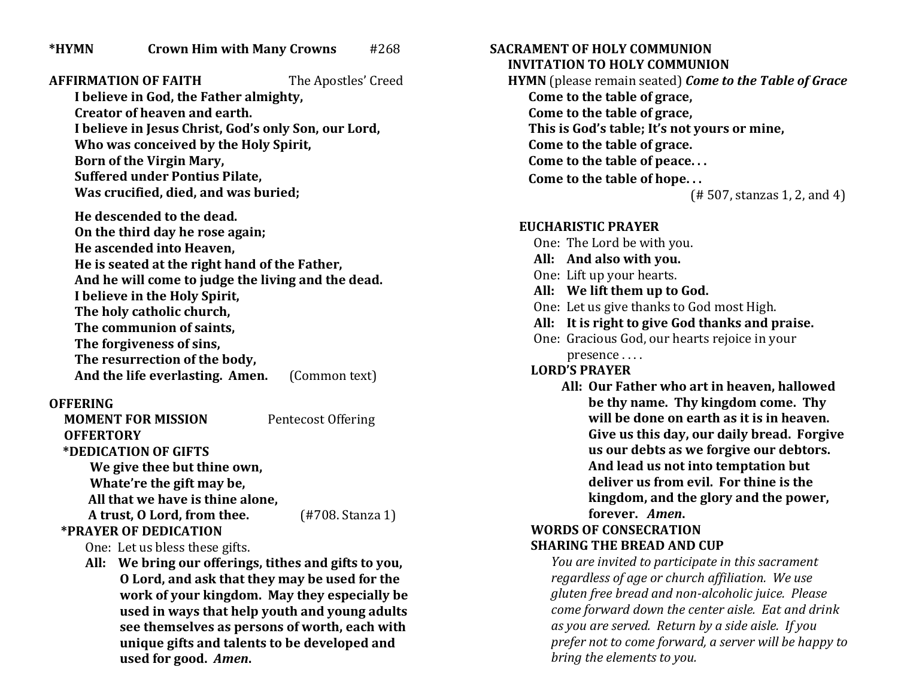**AFFIRMATION OF FAITH** The Apostles' Creed **I believe in God, the Father almighty, Creator of heaven and earth. I believe in Jesus Christ, God's only Son, our Lord, Who was conceived by the Holy Spirit, Born of the Virgin Mary, Suffered under Pontius Pilate, Was crucified, died, and was buried; He descended to the dead. On the third day he rose again; He ascended into Heaven, He is seated at the right hand of the Father, And he will come to judge the living and the dead. I believe in the Holy Spirit, The holy catholic church, The communion of saints, The forgiveness of sins, The resurrection of the body, And the life everlasting. Amen.** (Common text)

### **OFFERING**

 **MOMENT FOR MISSION** Pentecost Offering  **OFFERTORY \*DEDICATION OF GIFTS We give thee but thine own, Whate're the gift may be, All that we have is thine alone, A trust, O Lord, from thee.** (#708. Stanza 1)  **\*PRAYER OF DEDICATION**

One: Let us bless these gifts.

 **All: We bring our offerings, tithes and gifts to you, O Lord, and ask that they may be used for the work of your kingdom. May they especially be used in ways that help youth and young adults see themselves as persons of worth, each with unique gifts and talents to be developed and used for good.** *Amen***.**

**SACRAMENT OF HOLY COMMUNION INVITATION TO HOLY COMMUNION**

 **HYMN** (please remain seated) *Come to the Table of Grace* **Come to the table of grace, Come to the table of grace, This is God's table; It's not yours or mine, Come to the table of grace. Come to the table of peace. . . Come to the table of hope. . .** (# 507, stanzas 1, 2, and 4)

# **EUCHARISTIC PRAYER**

- One: The Lord be with you.
- **All: And also with you.**
- One: Lift up your hearts.
- **All: We lift them up to God.**
- One: Let us give thanks to God most High.
- **All: It is right to give God thanks and praise.**

One: Gracious God, our hearts rejoice in your presence . . . .

# **LORD'S PRAYER**

**All: Our Father who art in heaven, hallowed be thy name. Thy kingdom come. Thy will be done on earth as it is in heaven. Give us this day, our daily bread. Forgive us our debts as we forgive our debtors. And lead us not into temptation but deliver us from evil. For thine is the kingdom, and the glory and the power, forever.** *Amen***.**

# **WORDS OF CONSECRATION SHARING THE BREAD AND CUP**

*You are invited to participate in this sacrament regardless of age or church affiliation. We use gluten free bread and non-alcoholic juice. Please come forward down the center aisle. Eat and drink as you are served. Return by a side aisle. If you prefer not to come forward, a server will be happy to bring the elements to you.*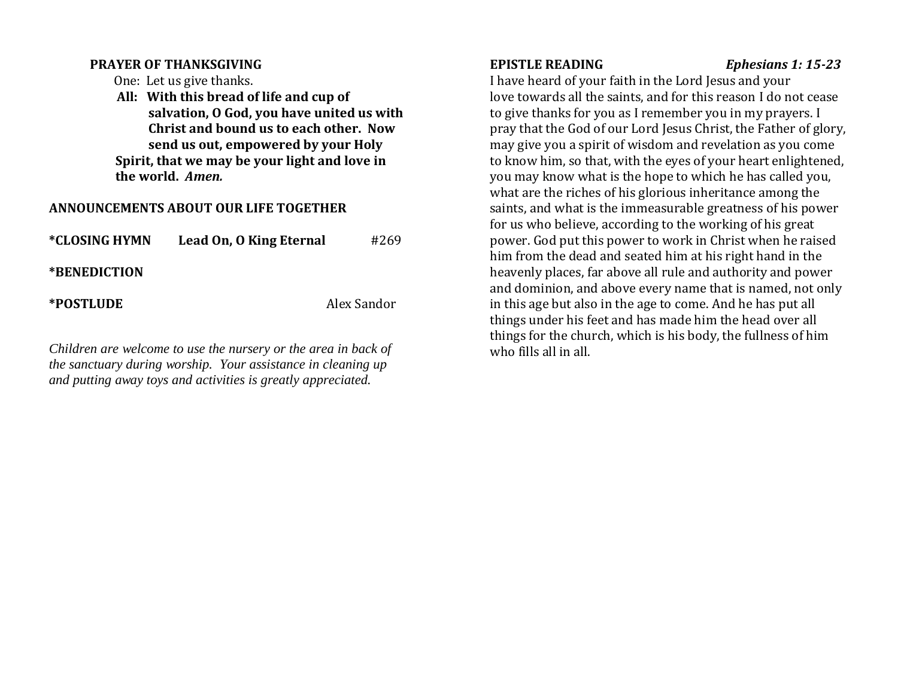### **PRAYER OF THANKSGIVING**

One: Let us give thanks.

 **All: With this bread of life and cup of salvation, O God, you have united us with Christ and bound us to each other. Now send us out, empowered by your Holy Spirit, that we may be your light and love in the world.** *Amen.*

# **ANNOUNCEMENTS ABOUT OUR LIFE TOGETHER**

| *CLOSING HYMN | Lead On, O King Eternal | #269        |
|---------------|-------------------------|-------------|
| *BENEDICTION  |                         |             |
| *POSTLUDE     |                         | Alex Sandor |

*Children are welcome to use the nursery or the area in back of the sanctuary during worship. Your assistance in cleaning up and putting away toys and activities is greatly appreciated.* 

**EPISTLE READING** *Ephesians 1: 15-23*

I have heard of your faith in the Lord Jesus and your love towards all the saints, and for this reason I do not cease to give thanks for you as I remember you in my prayers. I pray that the God of our Lord Jesus Christ, the Father of glory, may give you a spirit of wisdom and revelation as you come to know him, so that, with the eyes of your heart enlightened, you may know what is the hope to which he has called you, what are the riches of his glorious inheritance among the saints, and what is the immeasurable greatness of his power for us who believe, according to the working of his great power. God put this power to work in Christ when he raised him from the dead and seated him at his right hand in the heavenly places, far above all rule and authority and power and dominion, and above every name that is named, not only in this age but also in the age to come. And he has put all things under his feet and has made him the head over all things for the church, which is his body, the fullness of him who fills all in all.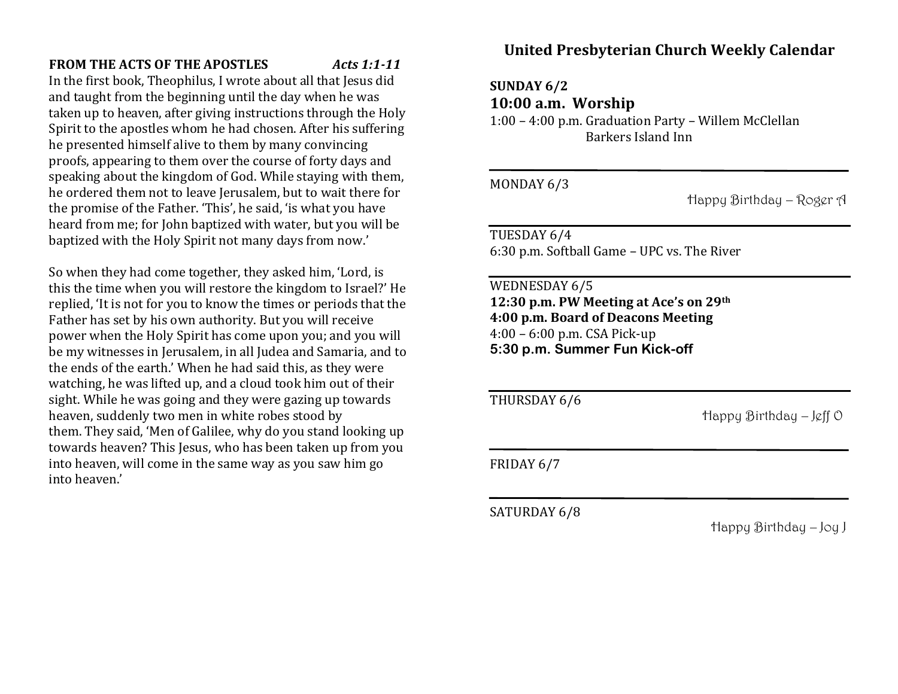# **FROM THE ACTS OF THE APOSTLES** *Acts 1:1-11*

In the first book, Theophilus, I wrote about all that Jesus did and taught from the beginning until the day when he was taken up to heaven, after giving instructions through the Holy Spirit to the apostles whom he had chosen. After his suffering he presented himself alive to them by many convincing proofs, appearing to them over the course of forty days and speaking about the kingdom of God. While staying with them, he ordered them not to leave Jerusalem, but to wait there for the promise of the Father. 'This', he said, 'is what you have heard from me; for John baptized with water, but you will be baptized with the Holy Spirit not many days from now.'

So when they had come together, they asked him, 'Lord, is this the time when you will restore the kingdom to Israel?' He replied, 'It is not for you to know the times or periods that the Father has set by his own authority. But you will receive power when the Holy Spirit has come upon you; and you will be my witnesses in Jerusalem, in all Judea and Samaria, and to the ends of the earth.' When he had said this, as they were watching, he was lifted up, and a cloud took him out of their sight. While he was going and they were gazing up towards heaven, suddenly two men in white robes stood by them. They said, 'Men of Galilee, why do you stand looking up towards heaven? This Jesus, who has been taken up from you into heaven, will come in the same way as you saw him go into heaven.'

# **United Presbyterian Church Weekly Calendar**

**SUNDAY 6/2**

**10:00 a.m. Worship**

1:00 – 4:00 p.m. Graduation Party – Willem McClellan Barkers Island Inn

MONDAY 6/3

Happy Birthday – Roger A

TUESDAY 6/4 6:30 p.m. Softball Game – UPC vs. The River

WEDNESDAY 6/5 **12:30 p.m. PW Meeting at Ace's on 29th 4:00 p.m. Board of Deacons Meeting** 4:00 – 6:00 p.m. CSA Pick-up **5:30 p.m. Summer Fun Kick-off**

 $\overline{a}$ 

THURSDAY 6/6

Happy Birthday – Jeff O

FRIDAY 6/7

SATURDAY 6/8

Happy Birthday – Joy J